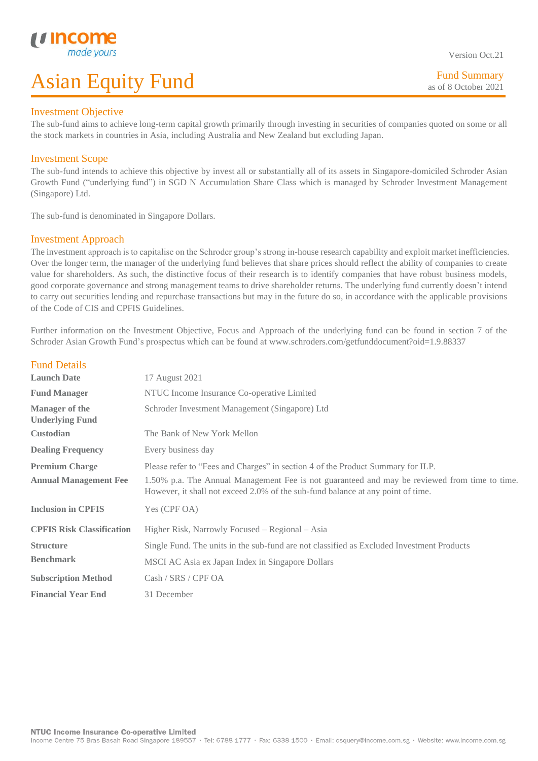# Investment Objective

L

The sub-fund aims to achieve long-term capital growth primarily through investing in securities of companies quoted on some or all the stock markets in countries in Asia, including Australia and New Zealand but excluding Japan.

# Investment Scope

The sub-fund intends to achieve this objective by invest all or substantially all of its assets in Singapore-domiciled Schroder Asian Growth Fund ("underlying fund") in SGD N Accumulation Share Class which is managed by Schroder Investment Management (Singapore) Ltd.

The sub-fund is denominated in Singapore Dollars.

## Investment Approach

The investment approach is to capitalise on the Schroder group's strong in-house research capability and exploit market inefficiencies. Over the longer term, the manager of the underlying fund believes that share prices should reflect the ability of companies to create value for shareholders. As such, the distinctive focus of their research is to identify companies that have robust business models, good corporate governance and strong management teams to drive shareholder returns. The underlying fund currently doesn't intend to carry out securities lending and repurchase transactions but may in the future do so, in accordance with the applicable provisions of the Code of CIS and CPFIS Guidelines.

Further information on the Investment Objective, Focus and Approach of the underlying fund can be found in section 7 of the Schroder Asian Growth Fund's prospectus which can be found at www.schroders.com/getfunddocument?oid=1.9.88337

| <b>Fund Details</b>                             |                                                                                                                                                                                  |  |  |  |  |
|-------------------------------------------------|----------------------------------------------------------------------------------------------------------------------------------------------------------------------------------|--|--|--|--|
| <b>Launch Date</b>                              | 17 August 2021                                                                                                                                                                   |  |  |  |  |
| <b>Fund Manager</b>                             | NTUC Income Insurance Co-operative Limited                                                                                                                                       |  |  |  |  |
| <b>Manager of the</b><br><b>Underlying Fund</b> | Schroder Investment Management (Singapore) Ltd                                                                                                                                   |  |  |  |  |
| <b>Custodian</b>                                | The Bank of New York Mellon                                                                                                                                                      |  |  |  |  |
| <b>Dealing Frequency</b>                        | Every business day                                                                                                                                                               |  |  |  |  |
| <b>Premium Charge</b>                           | Please refer to "Fees and Charges" in section 4 of the Product Summary for ILP.                                                                                                  |  |  |  |  |
| <b>Annual Management Fee</b>                    | 1.50% p.a. The Annual Management Fee is not guaranteed and may be reviewed from time to time.<br>However, it shall not exceed 2.0% of the sub-fund balance at any point of time. |  |  |  |  |
| <b>Inclusion in CPFIS</b>                       | Yes (CPF OA)                                                                                                                                                                     |  |  |  |  |
| <b>CPFIS Risk Classification</b>                | Higher Risk, Narrowly Focused – Regional – Asia                                                                                                                                  |  |  |  |  |
| <b>Structure</b>                                | Single Fund. The units in the sub-fund are not classified as Excluded Investment Products                                                                                        |  |  |  |  |
| <b>Benchmark</b>                                | MSCI AC Asia ex Japan Index in Singapore Dollars                                                                                                                                 |  |  |  |  |
| <b>Subscription Method</b>                      | Cash / SRS / CPF OA                                                                                                                                                              |  |  |  |  |
| <b>Financial Year End</b>                       | 31 December                                                                                                                                                                      |  |  |  |  |

Fund Summary as of 8 October 2021

Version Oct.21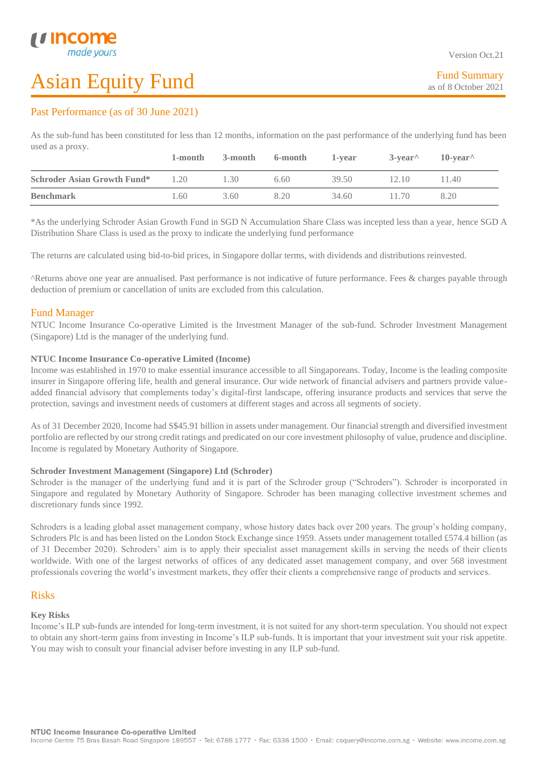L

# Asian Equity Fund

# Past Performance (as of 30 June 2021)

As the sub-fund has been constituted for less than 12 months, information on the past performance of the underlying fund has been used as a proxy.

|                                    | 1-month | 3-month | 6-month | 1-vear | $3$ -vear <sup><math>\wedge</math></sup> | $10$ -vear <sup><math>\wedge</math></sup> |
|------------------------------------|---------|---------|---------|--------|------------------------------------------|-------------------------------------------|
| <b>Schroder Asian Growth Fund*</b> | 1.20    | 1.30    | 6.6()   | 39.50  | 12.10                                    | 140                                       |
| <b>Benchmark</b>                   | 1.60    | 3.60    | 8.20    | 34.60  | 11.70                                    | 8.20                                      |

\*As the underlying Schroder Asian Growth Fund in SGD N Accumulation Share Class was incepted less than a year, hence SGD A Distribution Share Class is used as the proxy to indicate the underlying fund performance

The returns are calculated using bid-to-bid prices, in Singapore dollar terms, with dividends and distributions reinvested.

^Returns above one year are annualised. Past performance is not indicative of future performance. Fees & charges payable through deduction of premium or cancellation of units are excluded from this calculation.

# Fund Manager

NTUC Income Insurance Co-operative Limited is the Investment Manager of the sub-fund. Schroder Investment Management (Singapore) Ltd is the manager of the underlying fund.

## **NTUC Income Insurance Co-operative Limited (Income)**

Income was established in 1970 to make essential insurance accessible to all Singaporeans. Today, Income is the leading composite insurer in Singapore offering life, health and general insurance. Our wide network of financial advisers and partners provide valueadded financial advisory that complements today's digital-first landscape, offering insurance products and services that serve the protection, savings and investment needs of customers at different stages and across all segments of society.

As of 31 December 2020, Income had S\$45.91 billion in assets under management. Our financial strength and diversified investment portfolio are reflected by our strong credit ratings and predicated on our core investment philosophy of value, prudence and discipline. Income is regulated by Monetary Authority of Singapore.

### **Schroder Investment Management (Singapore) Ltd (Schroder)**

Schroder is the manager of the underlying fund and it is part of the Schroder group ("Schroders"). Schroder is incorporated in Singapore and regulated by Monetary Authority of Singapore. Schroder has been managing collective investment schemes and discretionary funds since 1992.

Schroders is a leading global asset management company, whose history dates back over 200 years. The group's holding company, Schroders Plc is and has been listed on the London Stock Exchange since 1959. Assets under management totalled £574.4 billion (as of 31 December 2020). Schroders' aim is to apply their specialist asset management skills in serving the needs of their clients worldwide. With one of the largest networks of offices of any dedicated asset management company, and over 568 investment professionals covering the world's investment markets, they offer their clients a comprehensive range of products and services.

# Risks

### **Key Risks**

Income's ILP sub-funds are intended for long-term investment, it is not suited for any short-term speculation. You should not expect to obtain any short-term gains from investing in Income's ILP sub-funds. It is important that your investment suit your risk appetite. You may wish to consult your financial adviser before investing in any ILP sub-fund.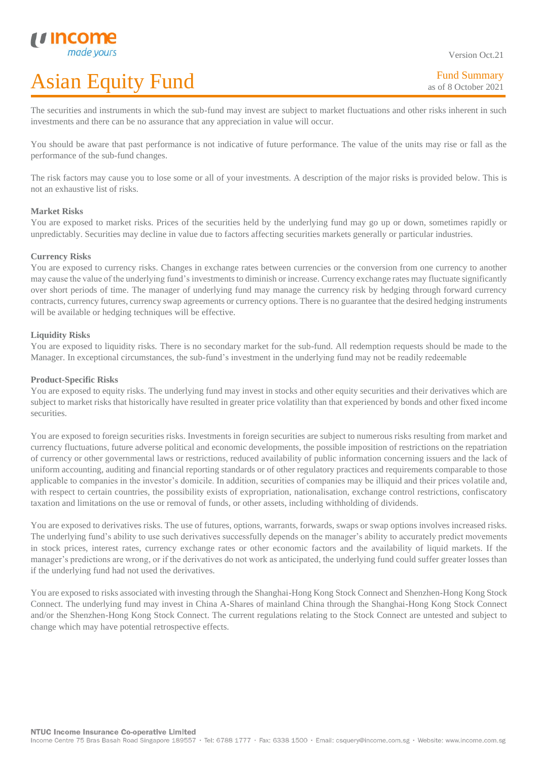Version Oct.21

The securities and instruments in which the sub-fund may invest are subject to market fluctuations and other risks inherent in such investments and there can be no assurance that any appreciation in value will occur.

You should be aware that past performance is not indicative of future performance. The value of the units may rise or fall as the performance of the sub-fund changes.

The risk factors may cause you to lose some or all of your investments. A description of the major risks is provided below. This is not an exhaustive list of risks.

### **Market Risks**

L

You are exposed to market risks. Prices of the securities held by the underlying fund may go up or down, sometimes rapidly or unpredictably. Securities may decline in value due to factors affecting securities markets generally or particular industries.

### **Currency Risks**

You are exposed to currency risks. Changes in exchange rates between currencies or the conversion from one currency to another may cause the value of the underlying fund's investments to diminish or increase. Currency exchange rates may fluctuate significantly over short periods of time. The manager of underlying fund may manage the currency risk by hedging through forward currency contracts, currency futures, currency swap agreements or currency options. There is no guarantee that the desired hedging instruments will be available or hedging techniques will be effective.

#### **Liquidity Risks**

You are exposed to liquidity risks. There is no secondary market for the sub-fund. All redemption requests should be made to the Manager. In exceptional circumstances, the sub-fund's investment in the underlying fund may not be readily redeemable

#### **Product-Specific Risks**

You are exposed to equity risks. The underlying fund may invest in stocks and other equity securities and their derivatives which are subject to market risks that historically have resulted in greater price volatility than that experienced by bonds and other fixed income securities.

You are exposed to foreign securities risks. Investments in foreign securities are subject to numerous risks resulting from market and currency fluctuations, future adverse political and economic developments, the possible imposition of restrictions on the repatriation of currency or other governmental laws or restrictions, reduced availability of public information concerning issuers and the lack of uniform accounting, auditing and financial reporting standards or of other regulatory practices and requirements comparable to those applicable to companies in the investor's domicile. In addition, securities of companies may be illiquid and their prices volatile and, with respect to certain countries, the possibility exists of expropriation, nationalisation, exchange control restrictions, confiscatory taxation and limitations on the use or removal of funds, or other assets, including withholding of dividends.

You are exposed to derivatives risks. The use of futures, options, warrants, forwards, swaps or swap options involves increased risks. The underlying fund's ability to use such derivatives successfully depends on the manager's ability to accurately predict movements in stock prices, interest rates, currency exchange rates or other economic factors and the availability of liquid markets. If the manager's predictions are wrong, or if the derivatives do not work as anticipated, the underlying fund could suffer greater losses than if the underlying fund had not used the derivatives.

You are exposed to risks associated with investing through the Shanghai-Hong Kong Stock Connect and Shenzhen-Hong Kong Stock Connect. The underlying fund may invest in China A-Shares of mainland China through the Shanghai-Hong Kong Stock Connect and/or the Shenzhen-Hong Kong Stock Connect. The current regulations relating to the Stock Connect are untested and subject to change which may have potential retrospective effects.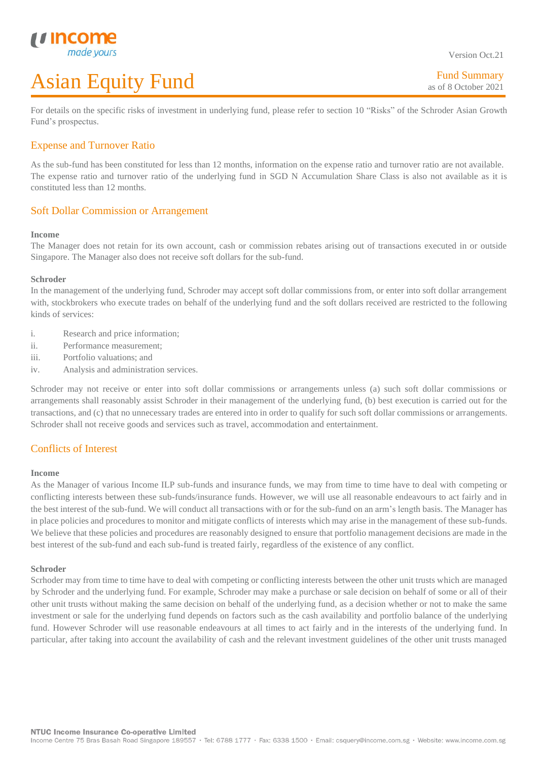For details on the specific risks of investment in underlying fund, please refer to section 10 "Risks" of the Schroder Asian Growth Fund's prospectus.

# Expense and Turnover Ratio

As the sub-fund has been constituted for less than 12 months, information on the expense ratio and turnover ratio are not available. The expense ratio and turnover ratio of the underlying fund in SGD N Accumulation Share Class is also not available as it is constituted less than 12 months.

## Soft Dollar Commission or Arrangement

#### **Income**

L

The Manager does not retain for its own account, cash or commission rebates arising out of transactions executed in or outside Singapore. The Manager also does not receive soft dollars for the sub-fund.

#### **Schroder**

In the management of the underlying fund, Schroder may accept soft dollar commissions from, or enter into soft dollar arrangement with, stockbrokers who execute trades on behalf of the underlying fund and the soft dollars received are restricted to the following kinds of services:

- i. Research and price information;
- ii. Performance measurement;
- iii. Portfolio valuations; and
- iv. Analysis and administration services.

Schroder may not receive or enter into soft dollar commissions or arrangements unless (a) such soft dollar commissions or arrangements shall reasonably assist Schroder in their management of the underlying fund, (b) best execution is carried out for the transactions, and (c) that no unnecessary trades are entered into in order to qualify for such soft dollar commissions or arrangements. Schroder shall not receive goods and services such as travel, accommodation and entertainment.

# Conflicts of Interest

#### **Income**

As the Manager of various Income ILP sub-funds and insurance funds, we may from time to time have to deal with competing or conflicting interests between these sub-funds/insurance funds. However, we will use all reasonable endeavours to act fairly and in the best interest of the sub-fund. We will conduct all transactions with or for the sub-fund on an arm's length basis. The Manager has in place policies and procedures to monitor and mitigate conflicts of interests which may arise in the management of these sub-funds. We believe that these policies and procedures are reasonably designed to ensure that portfolio management decisions are made in the best interest of the sub-fund and each sub-fund is treated fairly, regardless of the existence of any conflict.

#### **Schroder**

Scrhoder may from time to time have to deal with competing or conflicting interests between the other unit trusts which are managed by Schroder and the underlying fund. For example, Schroder may make a purchase or sale decision on behalf of some or all of their other unit trusts without making the same decision on behalf of the underlying fund, as a decision whether or not to make the same investment or sale for the underlying fund depends on factors such as the cash availability and portfolio balance of the underlying fund. However Schroder will use reasonable endeavours at all times to act fairly and in the interests of the underlying fund. In particular, after taking into account the availability of cash and the relevant investment guidelines of the other unit trusts managed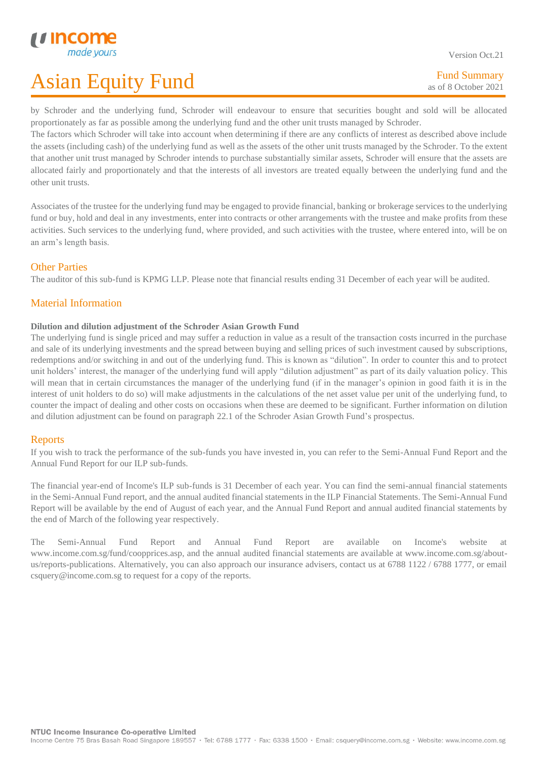Version Oct.21

L by Schroder and the underlying fund, Schroder will endeavour to ensure that securities bought and sold will be allocated proportionately as far as possible among the underlying fund and the other unit trusts managed by Schroder.

The factors which Schroder will take into account when determining if there are any conflicts of interest as described above include the assets (including cash) of the underlying fund as well as the assets of the other unit trusts managed by the Schroder. To the extent that another unit trust managed by Schroder intends to purchase substantially similar assets, Schroder will ensure that the assets are allocated fairly and proportionately and that the interests of all investors are treated equally between the underlying fund and the other unit trusts.

Associates of the trustee for the underlying fund may be engaged to provide financial, banking or brokerage services to the underlying fund or buy, hold and deal in any investments, enter into contracts or other arrangements with the trustee and make profits from these activities. Such services to the underlying fund, where provided, and such activities with the trustee, where entered into, will be on an arm's length basis.

# Other Parties

The auditor of this sub-fund is KPMG LLP. Please note that financial results ending 31 December of each year will be audited.

# Material Information

## **Dilution and dilution adjustment of the Schroder Asian Growth Fund**

The underlying fund is single priced and may suffer a reduction in value as a result of the transaction costs incurred in the purchase and sale of its underlying investments and the spread between buying and selling prices of such investment caused by subscriptions, redemptions and/or switching in and out of the underlying fund. This is known as "dilution". In order to counter this and to protect unit holders' interest, the manager of the underlying fund will apply "dilution adjustment" as part of its daily valuation policy. This will mean that in certain circumstances the manager of the underlying fund (if in the manager's opinion in good faith it is in the interest of unit holders to do so) will make adjustments in the calculations of the net asset value per unit of the underlying fund, to counter the impact of dealing and other costs on occasions when these are deemed to be significant. Further information on dilution and dilution adjustment can be found on paragraph 22.1 of the Schroder Asian Growth Fund's prospectus.

# **Reports**

If you wish to track the performance of the sub-funds you have invested in, you can refer to the Semi-Annual Fund Report and the Annual Fund Report for our ILP sub-funds.

The financial year-end of Income's ILP sub-funds is 31 December of each year. You can find the semi-annual financial statements in the Semi-Annual Fund report, and the annual audited financial statements in the ILP Financial Statements. The Semi-Annual Fund Report will be available by the end of August of each year, and the Annual Fund Report and annual audited financial statements by the end of March of the following year respectively.

The Semi-Annual Fund Report and Annual Fund Report are available on Income's website at www.income.com.sg/fund/coopprices.asp, and the annual audited financial statements are available at www.income.com.sg/aboutus/reports-publications. Alternatively, you can also approach our insurance advisers, contact us at 6788 1122 / 6788 1777, or email csquery@income.com.sg to request for a copy of the reports.